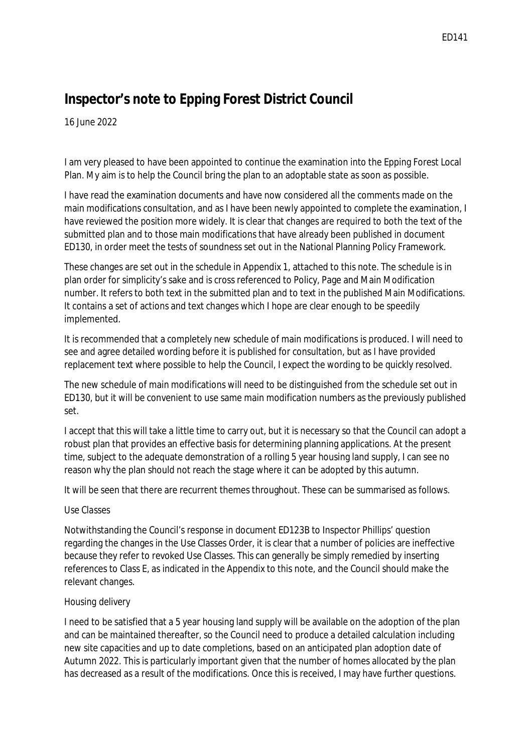# **Inspector's note to Epping Forest District Council**

16 June 2022

 I am very pleased to have been appointed to continue the examination into the Epping Forest Local Plan. My aim is to help the Council bring the plan to an adoptable state as soon as possible.

 I have read the examination documents and have now considered all the comments made on the main modifications consultation, and as I have been newly appointed to complete the examination, I have reviewed the position more widely. It is clear that changes are required to both the text of the submitted plan and to those main modifications that have already been published in document ED130, in order meet the tests of soundness set out in the National Planning Policy Framework.

 These changes are set out in the schedule in Appendix 1, attached to this note. The schedule is in plan order for simplicity's sake and is cross referenced to Policy, Page and Main Modification number. It refers to both text in the submitted plan and to text in the published Main Modifications. It contains a set of actions and text changes which I hope are clear enough to be speedily implemented.

 It is recommended that a completely new schedule of main modifications is produced. I will need to see and agree detailed wording before it is published for consultation, but as I have provided replacement text where possible to help the Council, I expect the wording to be quickly resolved.

 The new schedule of main modifications will need to be distinguished from the schedule set out in ED130, but it will be convenient to use same main modification numbers as the previously published set.

 I accept that this will take a little time to carry out, but it is necessary so that the Council can adopt a robust plan that provides an effective basis for determining planning applications. At the present time, subject to the adequate demonstration of a rolling 5 year housing land supply, I can see no reason why the plan should not reach the stage where it can be adopted by this autumn.

It will be seen that there are recurrent themes throughout. These can be summarised as follows.

# *Use Classes*

 Notwithstanding the Council's response in document ED123B to Inspector Phillips' question regarding the changes in the Use Classes Order, it is clear that a number of policies are ineffective because they refer to revoked Use Classes. This can generally be simply remedied by inserting references to Class E, as indicated in the Appendix to this note, and the Council should make the relevant changes.

# *Housing delivery*

 I need to be satisfied that a 5 year housing land supply will be available on the adoption of the plan and can be maintained thereafter, so the Council need to produce a detailed calculation including new site capacities and up to date completions, based on an anticipated plan adoption date of Autumn 2022. This is particularly important given that the number of homes allocated by the plan has decreased as a result of the modifications. Once this is received, I may have further questions.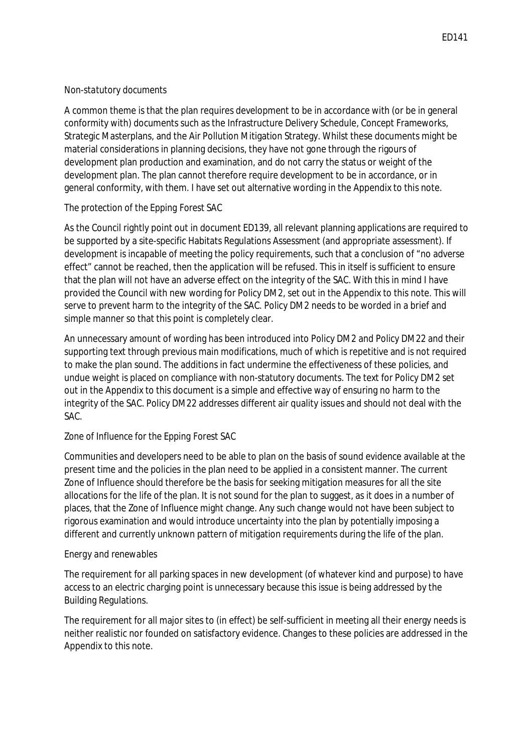#### *Non-statutory documents*

 A common theme is that the plan requires development to be in accordance with (or be in general conformity with) documents such as the Infrastructure Delivery Schedule, Concept Frameworks, Strategic Masterplans, and the Air Pollution Mitigation Strategy. Whilst these documents might be development plan production and examination, and do not carry the status or weight of the development plan. The plan cannot therefore require development to be in accordance, or in general conformity, with them. I have set out alternative wording in the Appendix to this note. material considerations in planning decisions, they have not gone through the rigours of

# *The protection of the Epping Forest SAC*

 As the Council rightly point out in document ED139, all relevant planning applications are required to be supported by a site-specific Habitats Regulations Assessment (and appropriate assessment). If development is incapable of meeting the policy requirements, such that a conclusion of "no adverse effect" cannot be reached, then the application will be refused. This in itself is sufficient to ensure that the plan will not have an adverse effect on the integrity of the SAC. With this in mind I have provided the Council with new wording for Policy DM2, set out in the Appendix to this note. This will serve to prevent harm to the integrity of the SAC. Policy DM2 needs to be worded in a brief and simple manner so that this point is completely clear.

 An unnecessary amount of wording has been introduced into Policy DM2 and Policy DM22 and their supporting text through previous main modifications, much of which is repetitive and is not required to make the plan sound. The additions in fact undermine the effectiveness of these policies, and undue weight is placed on compliance with non-statutory documents. The text for Policy DM2 set out in the Appendix to this document is a simple and effective way of ensuring no harm to the integrity of the SAC. Policy DM22 addresses different air quality issues and should not deal with the SAC.

# *Zone of Influence for the Epping Forest SAC*

 Communities and developers need to be able to plan on the basis of sound evidence available at the present time and the policies in the plan need to be applied in a consistent manner. The current Zone of Influence should therefore be the basis for seeking mitigation measures for all the site allocations for the life of the plan. It is not sound for the plan to suggest, as it does in a number of places, that the Zone of Influence might change. Any such change would not have been subject to rigorous examination and would introduce uncertainty into the plan by potentially imposing a different and currently unknown pattern of mitigation requirements during the life of the plan.

# *Energy and renewables*

 The requirement for all parking spaces in new development (of whatever kind and purpose) to have access to an electric charging point is unnecessary because this issue is being addressed by the **Building Regulations.** 

Building Regulations.<br>The requirement for all major sites to (in effect) be self-sufficient in meeting all their energy needs is neither realistic nor founded on satisfactory evidence. Changes to these policies are addressed in the Appendix to this note.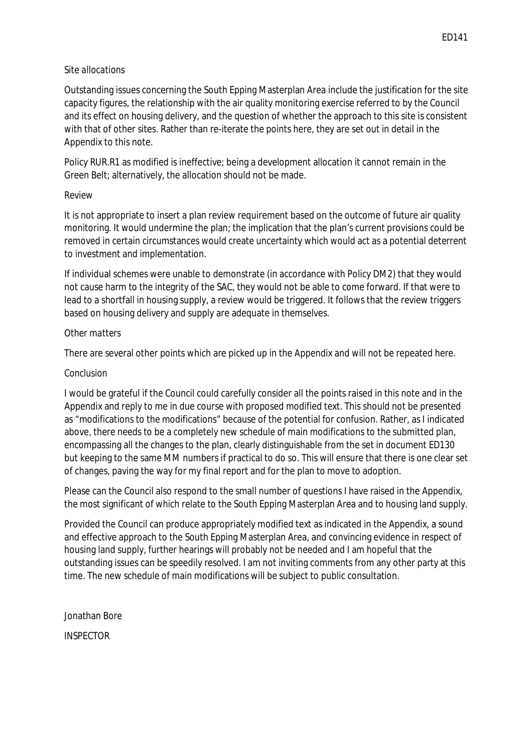#### *Site allocations*

 Outstanding issues concerning the South Epping Masterplan Area include the justification for the site capacity figures, the relationship with the air quality monitoring exercise referred to by the Council and its effect on housing delivery, and the question of whether the approach to this site is consistent with that of other sites. Rather than re-iterate the points here, they are set out in detail in the Appendix to this note.

Appendix to this note.<br>Policy RUR.R1 as modified is ineffective; being a development allocation it cannot remain in the Green Belt; alternatively, the allocation should not be made.

#### *Review*

 It is not appropriate to insert a plan review requirement based on the outcome of future air quality monitoring. It would undermine the plan; the implication that the plan's current provisions could be removed in certain circumstances would create uncertainty which would act as a potential deterrent to investment and implementation.

to investment and implementation.<br>If individual schemes were unable to demonstrate (in accordance with Policy DM2) that they would not cause harm to the integrity of the SAC, they would not be able to come forward. If that were to lead to a shortfall in housing supply, a review would be triggered. It follows that the review triggers based on housing delivery and supply are adequate in themselves.

#### *Other matters*

There are several other points which are picked up in the Appendix and will not be repeated here.

#### *Conclusion*

 I would be grateful if the Council could carefully consider all the points raised in this note and in the Appendix and reply to me in due course with proposed modified text. This should not be presented as "modifications to the modifications" because of the potential for confusion. Rather, as I indicated above, there needs to be a completely new schedule of main modifications to the submitted plan, encompassing all the changes to the plan, clearly distinguishable from the set in document ED130 but keeping to the same MM numbers if practical to do so. This will ensure that there is one clear set of changes, paving the way for my final report and for the plan to move to adoption.

 Please can the Council also respond to the small number of questions I have raised in the Appendix, the most significant of which relate to the South Epping Masterplan Area and to housing land supply.

 Provided the Council can produce appropriately modified text as indicated in the Appendix, a sound and effective approach to the South Epping Masterplan Area, and convincing evidence in respect of housing land supply, further hearings will probably not be needed and I am hopeful that the outstanding issues can be speedily resolved. I am not inviting comments from any other party at this time. The new schedule of main modifications will be subject to public consultation.

Jonathan Bore

INSPECTOR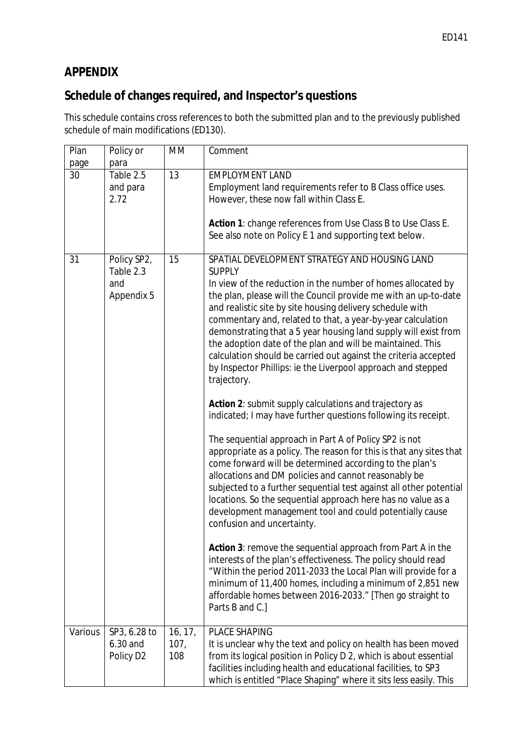# **APPENDIX**

# **Schedule of changes required, and Inspector's questions**

 This schedule contains cross references to both the submitted plan and to the previously published schedule of main modifications (ED130).

| Plan<br>page | Policy or<br>para                                    | <b>MM</b>              | Comment                                                                                                                                                                                                                                                                                                                                                                                                                                                                         |
|--------------|------------------------------------------------------|------------------------|---------------------------------------------------------------------------------------------------------------------------------------------------------------------------------------------------------------------------------------------------------------------------------------------------------------------------------------------------------------------------------------------------------------------------------------------------------------------------------|
| 30           | Table 2.5                                            | 13                     | <b>EMPLOYMENT LAND</b>                                                                                                                                                                                                                                                                                                                                                                                                                                                          |
|              | and para                                             |                        | Employment land requirements refer to B Class office uses.                                                                                                                                                                                                                                                                                                                                                                                                                      |
|              | 2.72                                                 |                        | However, these now fall within Class E.                                                                                                                                                                                                                                                                                                                                                                                                                                         |
|              |                                                      |                        |                                                                                                                                                                                                                                                                                                                                                                                                                                                                                 |
|              |                                                      |                        | Action 1: change references from Use Class B to Use Class E.                                                                                                                                                                                                                                                                                                                                                                                                                    |
|              |                                                      |                        | See also note on Policy E 1 and supporting text below.                                                                                                                                                                                                                                                                                                                                                                                                                          |
|              |                                                      |                        |                                                                                                                                                                                                                                                                                                                                                                                                                                                                                 |
| 31           | Policy SP2,<br>Table 2.3<br>and<br><b>Appendix 5</b> | 15                     | SPATIAL DEVELOPMENT STRATEGY AND HOUSING LAND<br><b>SUPPLY</b><br>In view of the reduction in the number of homes allocated by<br>the plan, please will the Council provide me with an up-to-date                                                                                                                                                                                                                                                                               |
|              |                                                      |                        | and realistic site by site housing delivery schedule with                                                                                                                                                                                                                                                                                                                                                                                                                       |
|              |                                                      |                        | commentary and, related to that, a year-by-year calculation<br>demonstrating that a 5 year housing land supply will exist from<br>the adoption date of the plan and will be maintained. This<br>calculation should be carried out against the criteria accepted<br>by Inspector Phillips: ie the Liverpool approach and stepped                                                                                                                                                 |
|              |                                                      |                        | trajectory.                                                                                                                                                                                                                                                                                                                                                                                                                                                                     |
|              |                                                      |                        | Action 2: submit supply calculations and trajectory as<br>indicated; I may have further questions following its receipt.                                                                                                                                                                                                                                                                                                                                                        |
|              |                                                      |                        | The sequential approach in Part A of Policy SP2 is not<br>appropriate as a policy. The reason for this is that any sites that<br>come forward will be determined according to the plan's<br>allocations and DM policies and cannot reasonably be<br>subjected to a further sequential test against all other potential<br>locations. So the sequential approach here has no value as a<br>development management tool and could potentially cause<br>confusion and uncertainty. |
|              |                                                      |                        | Action 3: remove the sequential approach from Part A in the<br>interests of the plan's effectiveness. The policy should read<br>"Within the period 2011-2033 the Local Plan will provide for a<br>minimum of 11,400 homes, including a minimum of 2,851 new<br>affordable homes between 2016-2033." [Then go straight to<br>Parts B and C.]                                                                                                                                     |
| Various      | SP3, 6.28 to<br>6.30 and<br>Policy D <sub>2</sub>    | 16, 17,<br>107,<br>108 | <b>PLACE SHAPING</b><br>It is unclear why the text and policy on health has been moved<br>from its logical position in Policy D 2, which is about essential<br>facilities including health and educational facilities, to SP3<br>which is entitled "Place Shaping" where it sits less easily. This                                                                                                                                                                              |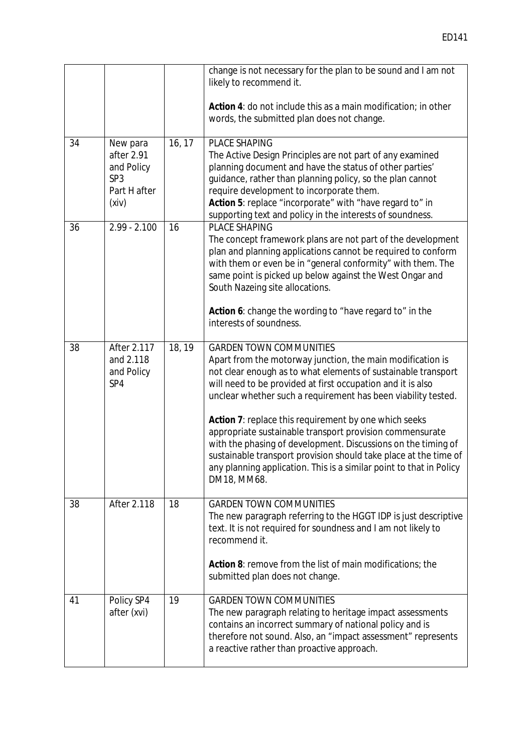|    |                                                                                  |        | change is not necessary for the plan to be sound and I am not<br>likely to recommend it.                                                                                                                                                                                                                                                                                                                                                                                                                                                                                                                                                      |
|----|----------------------------------------------------------------------------------|--------|-----------------------------------------------------------------------------------------------------------------------------------------------------------------------------------------------------------------------------------------------------------------------------------------------------------------------------------------------------------------------------------------------------------------------------------------------------------------------------------------------------------------------------------------------------------------------------------------------------------------------------------------------|
|    |                                                                                  |        | Action 4: do not include this as a main modification; in other<br>words, the submitted plan does not change.                                                                                                                                                                                                                                                                                                                                                                                                                                                                                                                                  |
| 34 | New para<br>after 2.91<br>and Policy<br>SP <sub>3</sub><br>Part H after<br>(xiv) | 16, 17 | <b>PLACE SHAPING</b><br>The Active Design Principles are not part of any examined<br>planning document and have the status of other parties'<br>guidance, rather than planning policy, so the plan cannot<br>require development to incorporate them.<br>Action 5: replace "incorporate" with "have regard to" in<br>supporting text and policy in the interests of soundness.                                                                                                                                                                                                                                                                |
| 36 | $2.99 - 2.100$                                                                   | 16     | <b>PLACE SHAPING</b><br>The concept framework plans are not part of the development<br>plan and planning applications cannot be required to conform<br>with them or even be in "general conformity" with them. The<br>same point is picked up below against the West Ongar and<br>South Nazeing site allocations.<br>Action 6: change the wording to "have regard to" in the<br>interests of soundness.                                                                                                                                                                                                                                       |
| 38 | After 2.117<br>and 2.118<br>and Policy<br>SP4                                    | 18, 19 | <b>GARDEN TOWN COMMUNITIES</b><br>Apart from the motorway junction, the main modification is<br>not clear enough as to what elements of sustainable transport<br>will need to be provided at first occupation and it is also<br>unclear whether such a requirement has been viability tested.<br>Action 7: replace this requirement by one which seeks<br>appropriate sustainable transport provision commensurate<br>with the phasing of development. Discussions on the timing of<br>sustainable transport provision should take place at the time of<br>any planning application. This is a similar point to that in Policy<br>DM18, MM68. |
| 38 | <b>After 2.118</b>                                                               | 18     | <b>GARDEN TOWN COMMUNITIES</b><br>The new paragraph referring to the HGGT IDP is just descriptive<br>text. It is not required for soundness and I am not likely to<br>recommend it.<br>Action 8: remove from the list of main modifications; the<br>submitted plan does not change.                                                                                                                                                                                                                                                                                                                                                           |
| 41 | Policy SP4<br>after (xvi)                                                        | 19     | <b>GARDEN TOWN COMMUNITIES</b><br>The new paragraph relating to heritage impact assessments<br>contains an incorrect summary of national policy and is<br>therefore not sound. Also, an "impact assessment" represents<br>a reactive rather than proactive approach.                                                                                                                                                                                                                                                                                                                                                                          |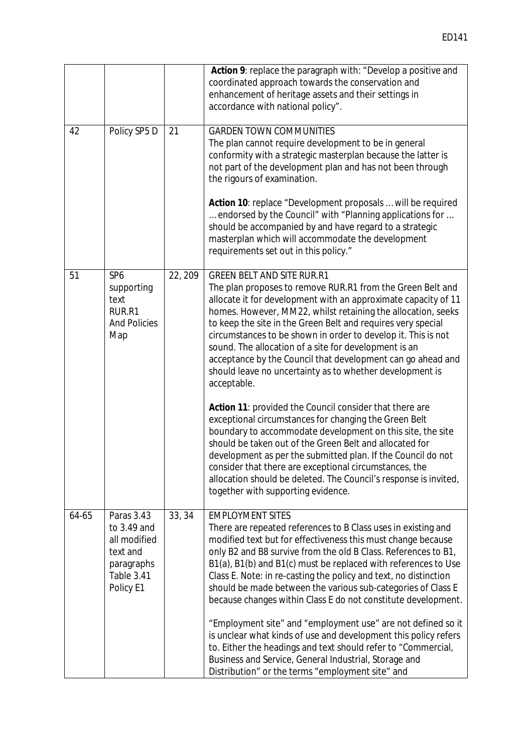|       |                                                                                                |         | Action 9: replace the paragraph with: "Develop a positive and<br>coordinated approach towards the conservation and<br>enhancement of heritage assets and their settings in<br>accordance with national policy".                                                                                                                                                                                                                                                                                                                                                       |
|-------|------------------------------------------------------------------------------------------------|---------|-----------------------------------------------------------------------------------------------------------------------------------------------------------------------------------------------------------------------------------------------------------------------------------------------------------------------------------------------------------------------------------------------------------------------------------------------------------------------------------------------------------------------------------------------------------------------|
| 42    | Policy SP5 D                                                                                   | 21      | <b>GARDEN TOWN COMMUNITIES</b><br>The plan cannot require development to be in general<br>conformity with a strategic masterplan because the latter is<br>not part of the development plan and has not been through<br>the rigours of examination.                                                                                                                                                                                                                                                                                                                    |
|       |                                                                                                |         | Action 10: replace "Development proposals  will be required<br>endorsed by the Council" with "Planning applications for<br>should be accompanied by and have regard to a strategic<br>masterplan which will accommodate the development<br>requirements set out in this policy."                                                                                                                                                                                                                                                                                      |
| 51    | SP <sub>6</sub><br>supporting<br>text<br>RUR.R1<br><b>And Policies</b><br>Map                  | 22, 209 | <b>GREEN BELT AND SITE RUR.R1</b><br>The plan proposes to remove RUR.R1 from the Green Belt and<br>allocate it for development with an approximate capacity of 11<br>homes. However, MM22, whilst retaining the allocation, seeks<br>to keep the site in the Green Belt and requires very special<br>circumstances to be shown in order to develop it. This is not<br>sound. The allocation of a site for development is an<br>acceptance by the Council that development can go ahead and<br>should leave no uncertainty as to whether development is<br>acceptable. |
|       |                                                                                                |         | Action 11: provided the Council consider that there are<br>exceptional circumstances for changing the Green Belt<br>boundary to accommodate development on this site, the site<br>should be taken out of the Green Belt and allocated for<br>development as per the submitted plan. If the Council do not<br>consider that there are exceptional circumstances, the<br>allocation should be deleted. The Council's response is invited,<br>together with supporting evidence.                                                                                         |
| 64-65 | Paras 3.43<br>to 3.49 and<br>all modified<br>text and<br>paragraphs<br>Table 3.41<br>Policy E1 | 33, 34  | <b>EMPLOYMENT SITES</b><br>There are repeated references to B Class uses in existing and<br>modified text but for effectiveness this must change because<br>only B2 and B8 survive from the old B Class. References to B1,<br>B1(a), B1(b) and B1(c) must be replaced with references to Use<br>Class E. Note: in re-casting the policy and text, no distinction<br>should be made between the various sub-categories of Class E<br>because changes within Class E do not constitute development.<br>"Employment site" and "employment use" are not defined so it     |
|       |                                                                                                |         | is unclear what kinds of use and development this policy refers<br>to. Either the headings and text should refer to "Commercial,<br>Business and Service, General Industrial, Storage and<br>Distribution" or the terms "employment site" and                                                                                                                                                                                                                                                                                                                         |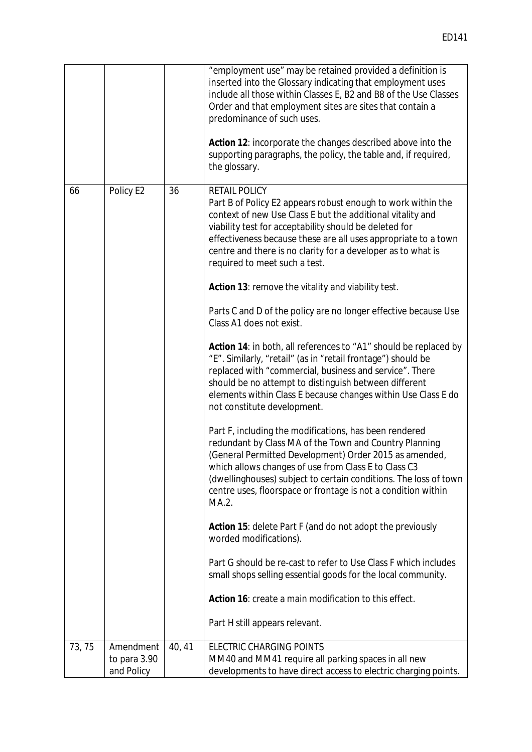|       |              |        | "employment use" may be retained provided a definition is<br>inserted into the Glossary indicating that employment uses<br>include all those within Classes E, B2 and B8 of the Use Classes<br>Order and that employment sites are sites that contain a<br>predominance of such uses.<br>Action 12: incorporate the changes described above into the                             |
|-------|--------------|--------|----------------------------------------------------------------------------------------------------------------------------------------------------------------------------------------------------------------------------------------------------------------------------------------------------------------------------------------------------------------------------------|
|       |              |        | supporting paragraphs, the policy, the table and, if required,<br>the glossary.                                                                                                                                                                                                                                                                                                  |
| 66    | Policy E2    | 36     | <b>RETAIL POLICY</b><br>Part B of Policy E2 appears robust enough to work within the<br>context of new Use Class E but the additional vitality and<br>viability test for acceptability should be deleted for<br>effectiveness because these are all uses appropriate to a town<br>centre and there is no clarity for a developer as to what is<br>required to meet such a test.  |
|       |              |        | Action 13: remove the vitality and viability test.                                                                                                                                                                                                                                                                                                                               |
|       |              |        | Parts C and D of the policy are no longer effective because Use<br>Class A1 does not exist.                                                                                                                                                                                                                                                                                      |
|       |              |        | Action 14: in both, all references to "A1" should be replaced by<br>"E". Similarly, "retail" (as in "retail frontage") should be<br>replaced with "commercial, business and service". There<br>should be no attempt to distinguish between different<br>elements within Class E because changes within Use Class E do<br>not constitute development.                             |
|       |              |        | Part F, including the modifications, has been rendered<br>redundant by Class MA of the Town and Country Planning<br>(General Permitted Development) Order 2015 as amended,<br>which allows changes of use from Class E to Class C3<br>(dwellinghouses) subject to certain conditions. The loss of town<br>centre uses, floorspace or frontage is not a condition within<br>MA.2. |
|       |              |        | Action 15: delete Part F (and do not adopt the previously<br>worded modifications).                                                                                                                                                                                                                                                                                              |
|       |              |        | Part G should be re-cast to refer to Use Class F which includes<br>small shops selling essential goods for the local community.                                                                                                                                                                                                                                                  |
|       |              |        | Action 16: create a main modification to this effect.                                                                                                                                                                                                                                                                                                                            |
|       |              |        | Part H still appears relevant.                                                                                                                                                                                                                                                                                                                                                   |
| 73,75 | Amendment    | 40, 41 | <b>ELECTRIC CHARGING POINTS</b>                                                                                                                                                                                                                                                                                                                                                  |
|       | to para 3.90 |        | MM40 and MM41 require all parking spaces in all new                                                                                                                                                                                                                                                                                                                              |
|       | and Policy   |        | developments to have direct access to electric charging points.                                                                                                                                                                                                                                                                                                                  |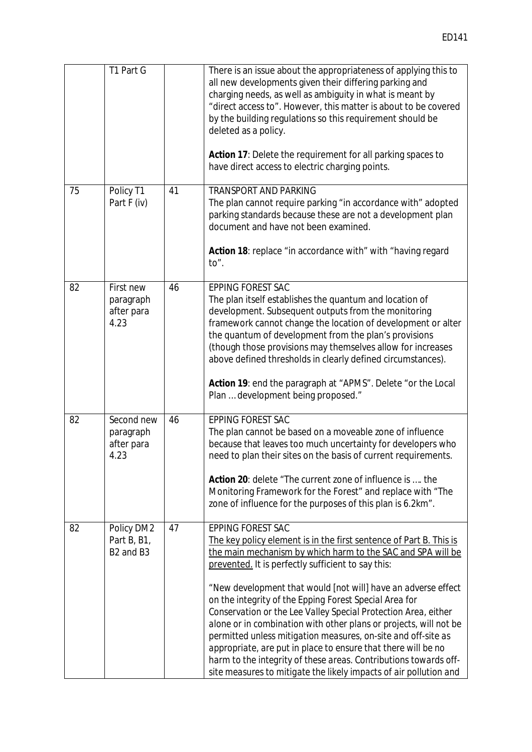|    | T1 Part G                                                      |    | There is an issue about the appropriateness of applying this to<br>all new developments given their differing parking and<br>charging needs, as well as ambiguity in what is meant by<br>"direct access to". However, this matter is about to be covered<br>by the building regulations so this requirement should be<br>deleted as a policy.<br>Action 17: Delete the requirement for all parking spaces to                                                                                                                              |
|----|----------------------------------------------------------------|----|-------------------------------------------------------------------------------------------------------------------------------------------------------------------------------------------------------------------------------------------------------------------------------------------------------------------------------------------------------------------------------------------------------------------------------------------------------------------------------------------------------------------------------------------|
|    |                                                                |    | have direct access to electric charging points.                                                                                                                                                                                                                                                                                                                                                                                                                                                                                           |
| 75 | Policy T1<br>Part F (iv)                                       | 41 | <b>TRANSPORT AND PARKING</b><br>The plan cannot require parking "in accordance with" adopted<br>parking standards because these are not a development plan<br>document and have not been examined.                                                                                                                                                                                                                                                                                                                                        |
|    |                                                                |    | Action 18: replace "in accordance with" with "having regard<br>to".                                                                                                                                                                                                                                                                                                                                                                                                                                                                       |
| 82 | First new<br>paragraph<br>after para<br>4.23                   | 46 | <b>EPPING FOREST SAC</b><br>The plan itself establishes the quantum and location of<br>development. Subsequent outputs from the monitoring<br>framework cannot change the location of development or alter<br>the quantum of development from the plan's provisions<br>(though those provisions may themselves allow for increases<br>above defined thresholds in clearly defined circumstances).                                                                                                                                         |
|    |                                                                |    | Action 19: end the paragraph at "APMS". Delete "or the Local<br>Plan  development being proposed."                                                                                                                                                                                                                                                                                                                                                                                                                                        |
| 82 | Second new<br>paragraph<br>after para<br>4.23                  | 46 | <b>EPPING FOREST SAC</b><br>The plan cannot be based on a moveable zone of influence<br>because that leaves too much uncertainty for developers who<br>need to plan their sites on the basis of current requirements.<br>Action 20: delete "The current zone of influence is  the<br>Monitoring Framework for the Forest" and replace with "The<br>zone of influence for the purposes of this plan is 6.2km".                                                                                                                             |
| 82 | Policy DM2<br>Part B, B1,<br>B <sub>2</sub> and B <sub>3</sub> | 47 | <b>EPPING FOREST SAC</b><br>The key policy element is in the first sentence of Part B. This is<br>the main mechanism by which harm to the SAC and SPA will be<br>prevented. It is perfectly sufficient to say this:                                                                                                                                                                                                                                                                                                                       |
|    |                                                                |    | "New development that would [not will] have an adverse effect<br>on the integrity of the Epping Forest Special Area for<br>Conservation or the Lee Valley Special Protection Area, either<br>alone or in combination with other plans or projects, will not be<br>permitted unless mitigation measures, on-site and off-site as<br>appropriate, are put in place to ensure that there will be no<br>harm to the integrity of these areas. Contributions towards off-<br>site measures to mitigate the likely impacts of air pollution and |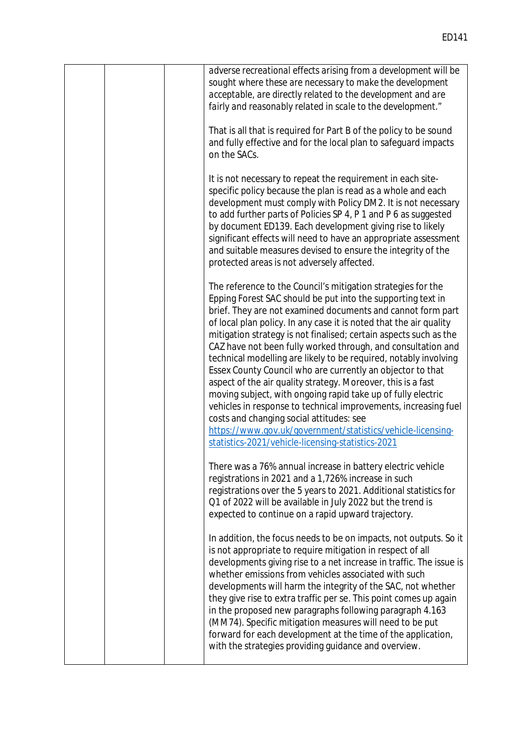| adverse recreational effects arising from a development will be<br>sought where these are necessary to make the development<br>acceptable, are directly related to the development and are<br>fairly and reasonably related in scale to the development."                                                                                                                                                                                                                                                                                                                                                                                                                                                                                                                                                                                                                                                  |
|------------------------------------------------------------------------------------------------------------------------------------------------------------------------------------------------------------------------------------------------------------------------------------------------------------------------------------------------------------------------------------------------------------------------------------------------------------------------------------------------------------------------------------------------------------------------------------------------------------------------------------------------------------------------------------------------------------------------------------------------------------------------------------------------------------------------------------------------------------------------------------------------------------|
| That is all that is required for Part B of the policy to be sound<br>and fully effective and for the local plan to safeguard impacts<br>on the SACs.                                                                                                                                                                                                                                                                                                                                                                                                                                                                                                                                                                                                                                                                                                                                                       |
| It is not necessary to repeat the requirement in each site-<br>specific policy because the plan is read as a whole and each<br>development must comply with Policy DM2. It is not necessary<br>to add further parts of Policies SP 4, P 1 and P 6 as suggested<br>by document ED139. Each development giving rise to likely<br>significant effects will need to have an appropriate assessment<br>and suitable measures devised to ensure the integrity of the<br>protected areas is not adversely affected.                                                                                                                                                                                                                                                                                                                                                                                               |
| The reference to the Council's mitigation strategies for the<br>Epping Forest SAC should be put into the supporting text in<br>brief. They are not examined documents and cannot form part<br>of local plan policy. In any case it is noted that the air quality<br>mitigation strategy is not finalised; certain aspects such as the<br>CAZ have not been fully worked through, and consultation and<br>technical modelling are likely to be required, notably involving<br>Essex County Council who are currently an objector to that<br>aspect of the air quality strategy. Moreover, this is a fast<br>moving subject, with ongoing rapid take up of fully electric<br>vehicles in response to technical improvements, increasing fuel<br>costs and changing social attitudes: see<br>https://www.gov.uk/government/statistics/vehicle-licensing-<br>statistics-2021/vehicle-licensing-statistics-2021 |
| There was a 76% annual increase in battery electric vehicle<br>registrations in 2021 and a 1,726% increase in such<br>registrations over the 5 years to 2021. Additional statistics for<br>Q1 of 2022 will be available in July 2022 but the trend is<br>expected to continue on a rapid upward trajectory.                                                                                                                                                                                                                                                                                                                                                                                                                                                                                                                                                                                                |
| In addition, the focus needs to be on impacts, not outputs. So it<br>is not appropriate to require mitigation in respect of all<br>developments giving rise to a net increase in traffic. The issue is<br>whether emissions from vehicles associated with such<br>developments will harm the integrity of the SAC, not whether<br>they give rise to extra traffic per se. This point comes up again<br>in the proposed new paragraphs following paragraph 4.163<br>(MM74). Specific mitigation measures will need to be put<br>forward for each development at the time of the application,<br>with the strategies providing guidance and overview.                                                                                                                                                                                                                                                        |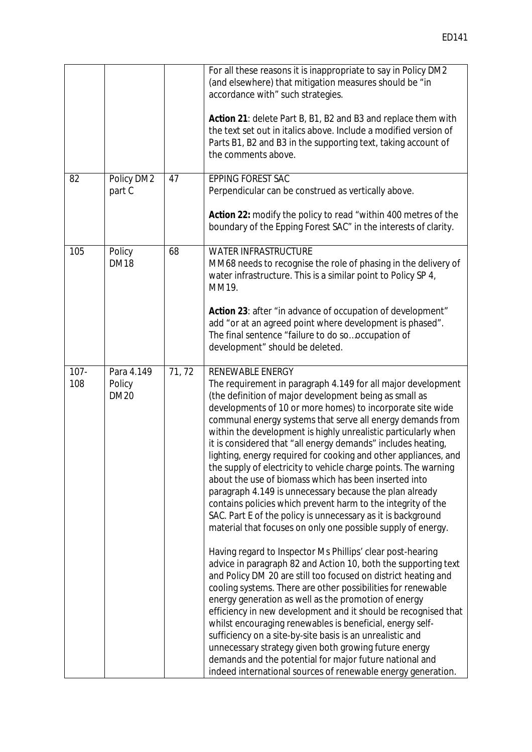|                |                                     |       | For all these reasons it is inappropriate to say in Policy DM2<br>(and elsewhere) that mitigation measures should be "in<br>accordance with" such strategies.                                                                                                                                                                                                                                                                                                                                                                                                                                                                                                                                                                                                                                                                                                                                                                                                                                                                                                                                                                                                                                                                                                                                                                                                                                                                                                                                                       |
|----------------|-------------------------------------|-------|---------------------------------------------------------------------------------------------------------------------------------------------------------------------------------------------------------------------------------------------------------------------------------------------------------------------------------------------------------------------------------------------------------------------------------------------------------------------------------------------------------------------------------------------------------------------------------------------------------------------------------------------------------------------------------------------------------------------------------------------------------------------------------------------------------------------------------------------------------------------------------------------------------------------------------------------------------------------------------------------------------------------------------------------------------------------------------------------------------------------------------------------------------------------------------------------------------------------------------------------------------------------------------------------------------------------------------------------------------------------------------------------------------------------------------------------------------------------------------------------------------------------|
|                |                                     |       | Action 21: delete Part B, B1, B2 and B3 and replace them with<br>the text set out in italics above. Include a modified version of<br>Parts B1, B2 and B3 in the supporting text, taking account of<br>the comments above.                                                                                                                                                                                                                                                                                                                                                                                                                                                                                                                                                                                                                                                                                                                                                                                                                                                                                                                                                                                                                                                                                                                                                                                                                                                                                           |
| 82             | Policy DM2<br>part C                | 47    | <b>EPPING FOREST SAC</b><br>Perpendicular can be construed as vertically above.                                                                                                                                                                                                                                                                                                                                                                                                                                                                                                                                                                                                                                                                                                                                                                                                                                                                                                                                                                                                                                                                                                                                                                                                                                                                                                                                                                                                                                     |
|                |                                     |       | Action 22: modify the policy to read "within 400 metres of the<br>boundary of the Epping Forest SAC" in the interests of clarity.                                                                                                                                                                                                                                                                                                                                                                                                                                                                                                                                                                                                                                                                                                                                                                                                                                                                                                                                                                                                                                                                                                                                                                                                                                                                                                                                                                                   |
| 105            | Policy<br><b>DM18</b>               | 68    | <b>WATER INFRASTRUCTURE</b><br>MM68 needs to recognise the role of phasing in the delivery of<br>water infrastructure. This is a similar point to Policy SP 4,<br>MM19.                                                                                                                                                                                                                                                                                                                                                                                                                                                                                                                                                                                                                                                                                                                                                                                                                                                                                                                                                                                                                                                                                                                                                                                                                                                                                                                                             |
|                |                                     |       | Action 23: after "in advance of occupation of development"<br>add "or at an agreed point where development is phased".<br>The final sentence "failure to do sooccupation of<br>development" should be deleted.                                                                                                                                                                                                                                                                                                                                                                                                                                                                                                                                                                                                                                                                                                                                                                                                                                                                                                                                                                                                                                                                                                                                                                                                                                                                                                      |
| $107 -$<br>108 | Para 4.149<br>Policy<br><b>DM20</b> | 71,72 | <b>RENEWABLE ENERGY</b><br>The requirement in paragraph 4.149 for all major development<br>(the definition of major development being as small as<br>developments of 10 or more homes) to incorporate site wide<br>communal energy systems that serve all energy demands from<br>within the development is highly unrealistic particularly when<br>it is considered that "all energy demands" includes heating,<br>lighting, energy required for cooking and other appliances, and<br>the supply of electricity to vehicle charge points. The warning<br>about the use of biomass which has been inserted into<br>paragraph 4.149 is unnecessary because the plan already<br>contains policies which prevent harm to the integrity of the<br>SAC. Part E of the policy is unnecessary as it is background<br>material that focuses on only one possible supply of energy.<br>Having regard to Inspector Ms Phillips' clear post-hearing<br>advice in paragraph 82 and Action 10, both the supporting text<br>and Policy DM 20 are still too focused on district heating and<br>cooling systems. There are other possibilities for renewable<br>energy generation as well as the promotion of energy<br>efficiency in new development and it should be recognised that<br>whilst encouraging renewables is beneficial, energy self-<br>sufficiency on a site-by-site basis is an unrealistic and<br>unnecessary strategy given both growing future energy<br>demands and the potential for major future national and |
|                |                                     |       | indeed international sources of renewable energy generation.                                                                                                                                                                                                                                                                                                                                                                                                                                                                                                                                                                                                                                                                                                                                                                                                                                                                                                                                                                                                                                                                                                                                                                                                                                                                                                                                                                                                                                                        |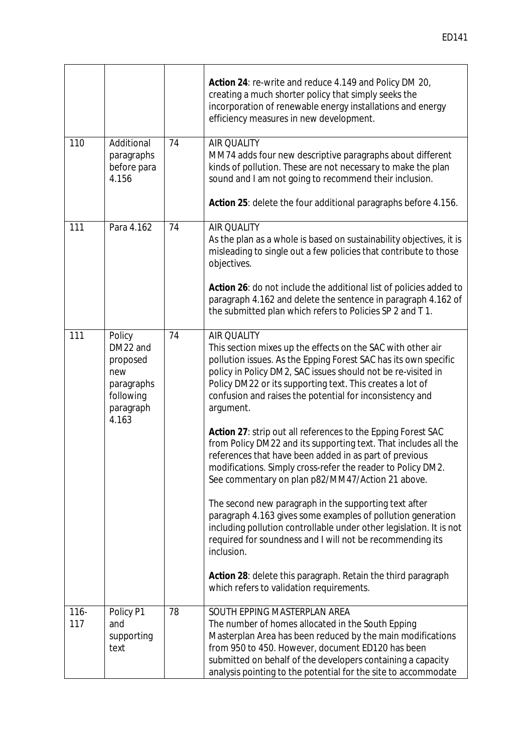|                |                                                                                        |    | Action 24: re-write and reduce 4.149 and Policy DM 20,<br>creating a much shorter policy that simply seeks the<br>incorporation of renewable energy installations and energy<br>efficiency measures in new development.                                                                                                                                                                                                                                                                                                                                                                                                                                                                                                                                                                                                                                                                                                                                                                                                                                         |
|----------------|----------------------------------------------------------------------------------------|----|-----------------------------------------------------------------------------------------------------------------------------------------------------------------------------------------------------------------------------------------------------------------------------------------------------------------------------------------------------------------------------------------------------------------------------------------------------------------------------------------------------------------------------------------------------------------------------------------------------------------------------------------------------------------------------------------------------------------------------------------------------------------------------------------------------------------------------------------------------------------------------------------------------------------------------------------------------------------------------------------------------------------------------------------------------------------|
| 110            | Additional<br>paragraphs<br>before para<br>4.156                                       | 74 | <b>AIR QUALITY</b><br>MM74 adds four new descriptive paragraphs about different<br>kinds of pollution. These are not necessary to make the plan<br>sound and I am not going to recommend their inclusion.<br>Action 25: delete the four additional paragraphs before 4.156.                                                                                                                                                                                                                                                                                                                                                                                                                                                                                                                                                                                                                                                                                                                                                                                     |
| 111            | Para 4.162                                                                             | 74 | <b>AIR QUALITY</b><br>As the plan as a whole is based on sustainability objectives, it is<br>misleading to single out a few policies that contribute to those<br>objectives.<br>Action 26: do not include the additional list of policies added to<br>paragraph 4.162 and delete the sentence in paragraph 4.162 of<br>the submitted plan which refers to Policies SP 2 and T1.                                                                                                                                                                                                                                                                                                                                                                                                                                                                                                                                                                                                                                                                                 |
| 111            | Policy<br>DM22 and<br>proposed<br>new<br>paragraphs<br>following<br>paragraph<br>4.163 | 74 | <b>AIR QUALITY</b><br>This section mixes up the effects on the SAC with other air<br>pollution issues. As the Epping Forest SAC has its own specific<br>policy in Policy DM2, SAC issues should not be re-visited in<br>Policy DM22 or its supporting text. This creates a lot of<br>confusion and raises the potential for inconsistency and<br>argument.<br>Action 27: strip out all references to the Epping Forest SAC<br>from Policy DM22 and its supporting text. That includes all the<br>references that have been added in as part of previous<br>modifications. Simply cross-refer the reader to Policy DM2<br>See commentary on plan p82/MM47/Action 21 above.<br>The second new paragraph in the supporting text after<br>paragraph 4.163 gives some examples of pollution generation<br>including pollution controllable under other legislation. It is not<br>required for soundness and I will not be recommending its<br>inclusion.<br>Action 28: delete this paragraph. Retain the third paragraph<br>which refers to validation requirements. |
| $116 -$<br>117 | Policy P1<br>and<br>supporting<br>text                                                 | 78 | SOUTH EPPING MASTERPLAN AREA<br>The number of homes allocated in the South Epping<br>Masterplan Area has been reduced by the main modifications<br>from 950 to 450. However, document ED120 has been<br>submitted on behalf of the developers containing a capacity<br>analysis pointing to the potential for the site to accommodate                                                                                                                                                                                                                                                                                                                                                                                                                                                                                                                                                                                                                                                                                                                           |

 $\mathsf{r}$ 

 $\top$ 

 $\overline{\mathbf{r}}$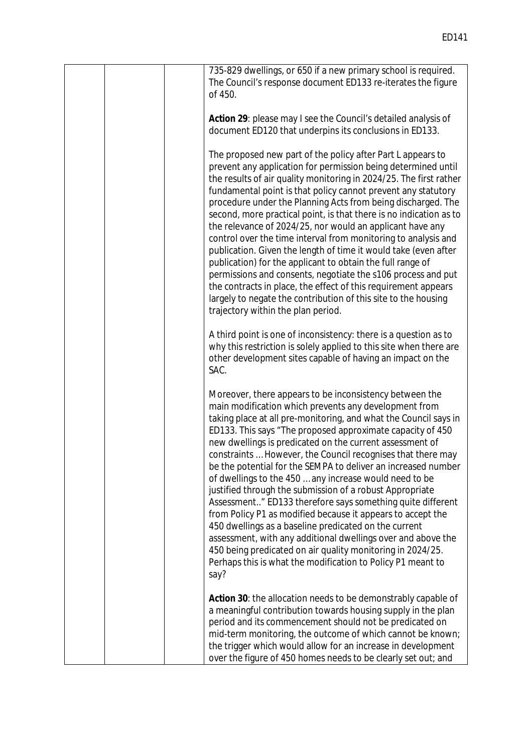|  | 735-829 dwellings, or 650 if a new primary school is required.<br>The Council's response document ED133 re-iterates the figure<br>of 450.                                                                                                                                                                                                                                                                                                                                                                                                                                                                                                                                                                                                                                                                                                                                                                                                                       |
|--|-----------------------------------------------------------------------------------------------------------------------------------------------------------------------------------------------------------------------------------------------------------------------------------------------------------------------------------------------------------------------------------------------------------------------------------------------------------------------------------------------------------------------------------------------------------------------------------------------------------------------------------------------------------------------------------------------------------------------------------------------------------------------------------------------------------------------------------------------------------------------------------------------------------------------------------------------------------------|
|  | Action 29: please may I see the Council's detailed analysis of<br>document ED120 that underpins its conclusions in ED133.                                                                                                                                                                                                                                                                                                                                                                                                                                                                                                                                                                                                                                                                                                                                                                                                                                       |
|  | The proposed new part of the policy after Part L appears to<br>prevent any application for permission being determined until<br>the results of air quality monitoring in 2024/25. The first rather<br>fundamental point is that policy cannot prevent any statutory<br>procedure under the Planning Acts from being discharged. The<br>second, more practical point, is that there is no indication as to<br>the relevance of 2024/25, nor would an applicant have any<br>control over the time interval from monitoring to analysis and<br>publication. Given the length of time it would take (even after<br>publication) for the applicant to obtain the full range of<br>permissions and consents, negotiate the s106 process and put<br>the contracts in place, the effect of this requirement appears<br>largely to negate the contribution of this site to the housing<br>trajectory within the plan period.                                             |
|  | A third point is one of inconsistency: there is a question as to<br>why this restriction is solely applied to this site when there are<br>other development sites capable of having an impact on the<br>SAC.                                                                                                                                                                                                                                                                                                                                                                                                                                                                                                                                                                                                                                                                                                                                                    |
|  | Moreover, there appears to be inconsistency between the<br>main modification which prevents any development from<br>taking place at all pre-monitoring, and what the Council says in<br>ED133. This says "The proposed approximate capacity of 450<br>new dwellings is predicated on the current assessment of<br>constraints  However, the Council recognises that there may<br>be the potential for the SEMPA to deliver an increased number<br>of dwellings to the 450  any increase would need to be<br>justified through the submission of a robust Appropriate<br>Assessment" ED133 therefore says something quite different<br>from Policy P1 as modified because it appears to accept the<br>450 dwellings as a baseline predicated on the current<br>assessment, with any additional dwellings over and above the<br>450 being predicated on air quality monitoring in 2024/25.<br>Perhaps this is what the modification to Policy P1 meant to<br>say? |
|  | Action 30: the allocation needs to be demonstrably capable of<br>a meaningful contribution towards housing supply in the plan<br>period and its commencement should not be predicated on<br>mid-term monitoring, the outcome of which cannot be known;<br>the trigger which would allow for an increase in development<br>over the figure of 450 homes needs to be clearly set out; and                                                                                                                                                                                                                                                                                                                                                                                                                                                                                                                                                                         |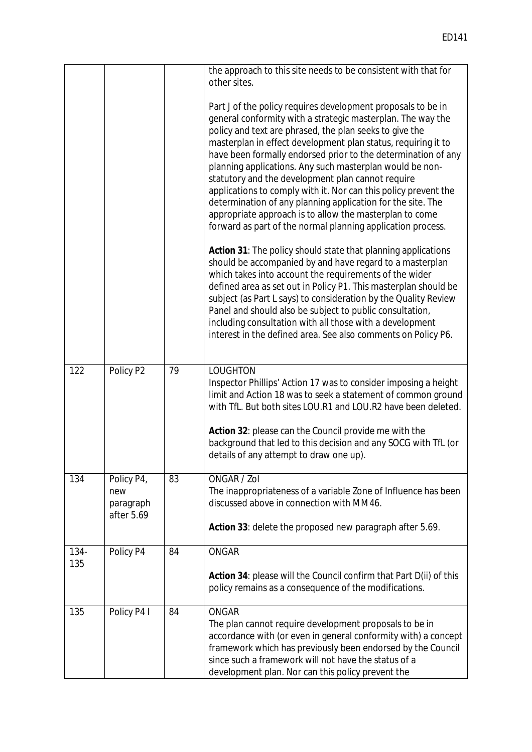|             |                                              |    | the approach to this site needs to be consistent with that for<br>other sites.                                                                                                                                                                                                                                                                                                                                                                                                                                                                                                                                                                                                                                                                                                                                                                                                                                                                                                                                                                                                                                                                                                                                              |
|-------------|----------------------------------------------|----|-----------------------------------------------------------------------------------------------------------------------------------------------------------------------------------------------------------------------------------------------------------------------------------------------------------------------------------------------------------------------------------------------------------------------------------------------------------------------------------------------------------------------------------------------------------------------------------------------------------------------------------------------------------------------------------------------------------------------------------------------------------------------------------------------------------------------------------------------------------------------------------------------------------------------------------------------------------------------------------------------------------------------------------------------------------------------------------------------------------------------------------------------------------------------------------------------------------------------------|
|             |                                              |    | Part J of the policy requires development proposals to be in<br>general conformity with a strategic masterplan. The way the<br>policy and text are phrased, the plan seeks to give the<br>masterplan in effect development plan status, requiring it to<br>have been formally endorsed prior to the determination of any<br>planning applications. Any such masterplan would be non-<br>statutory and the development plan cannot require<br>applications to comply with it. Nor can this policy prevent the<br>determination of any planning application for the site. The<br>appropriate approach is to allow the masterplan to come<br>forward as part of the normal planning application process.<br>Action 31: The policy should state that planning applications<br>should be accompanied by and have regard to a masterplan<br>which takes into account the requirements of the wider<br>defined area as set out in Policy P1. This masterplan should be<br>subject (as Part L says) to consideration by the Quality Review<br>Panel and should also be subject to public consultation,<br>including consultation with all those with a development<br>interest in the defined area. See also comments on Policy P6. |
| 122         | Policy P2                                    | 79 | <b>LOUGHTON</b><br>Inspector Phillips' Action 17 was to consider imposing a height<br>limit and Action 18 was to seek a statement of common ground<br>with TfL. But both sites LOU.R1 and LOU.R2 have been deleted.                                                                                                                                                                                                                                                                                                                                                                                                                                                                                                                                                                                                                                                                                                                                                                                                                                                                                                                                                                                                         |
|             |                                              |    | Action 32: please can the Council provide me with the<br>background that led to this decision and any SOCG with TfL (or<br>details of any attempt to draw one up).                                                                                                                                                                                                                                                                                                                                                                                                                                                                                                                                                                                                                                                                                                                                                                                                                                                                                                                                                                                                                                                          |
| 134         | Policy P4,<br>new<br>paragraph<br>after 5.69 | 83 | ONGAR / Zol<br>The inappropriateness of a variable Zone of Influence has been<br>discussed above in connection with MM46.                                                                                                                                                                                                                                                                                                                                                                                                                                                                                                                                                                                                                                                                                                                                                                                                                                                                                                                                                                                                                                                                                                   |
|             |                                              |    | Action 33: delete the proposed new paragraph after 5.69.                                                                                                                                                                                                                                                                                                                                                                                                                                                                                                                                                                                                                                                                                                                                                                                                                                                                                                                                                                                                                                                                                                                                                                    |
| 134-<br>135 | Policy P4                                    | 84 | <b>ONGAR</b>                                                                                                                                                                                                                                                                                                                                                                                                                                                                                                                                                                                                                                                                                                                                                                                                                                                                                                                                                                                                                                                                                                                                                                                                                |
|             |                                              |    | Action 34: please will the Council confirm that Part D(ii) of this<br>policy remains as a consequence of the modifications.                                                                                                                                                                                                                                                                                                                                                                                                                                                                                                                                                                                                                                                                                                                                                                                                                                                                                                                                                                                                                                                                                                 |
| 135         | Policy P4 I                                  | 84 | <b>ONGAR</b><br>The plan cannot require development proposals to be in<br>accordance with (or even in general conformity with) a concept<br>framework which has previously been endorsed by the Council<br>since such a framework will not have the status of a<br>development plan. Nor can this policy prevent the                                                                                                                                                                                                                                                                                                                                                                                                                                                                                                                                                                                                                                                                                                                                                                                                                                                                                                        |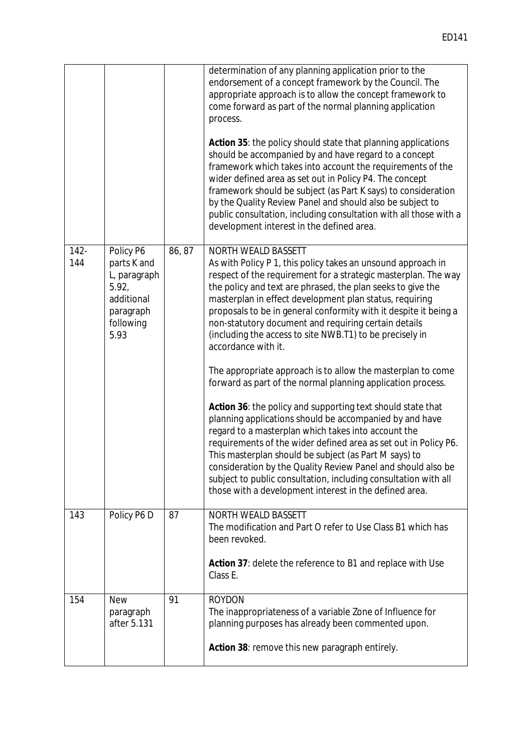|                |                                                                                                   |        | determination of any planning application prior to the<br>endorsement of a concept framework by the Council. The<br>appropriate approach is to allow the concept framework to<br>come forward as part of the normal planning application<br>process.<br>Action 35: the policy should state that planning applications<br>should be accompanied by and have regard to a concept<br>framework which takes into account the requirements of the<br>wider defined area as set out in Policy P4. The concept<br>framework should be subject (as Part K says) to consideration<br>by the Quality Review Panel and should also be subject to<br>public consultation, including consultation with all those with a<br>development interest in the defined area.                                                                                                                                                                                                                                                                                                                                                                                       |
|----------------|---------------------------------------------------------------------------------------------------|--------|-----------------------------------------------------------------------------------------------------------------------------------------------------------------------------------------------------------------------------------------------------------------------------------------------------------------------------------------------------------------------------------------------------------------------------------------------------------------------------------------------------------------------------------------------------------------------------------------------------------------------------------------------------------------------------------------------------------------------------------------------------------------------------------------------------------------------------------------------------------------------------------------------------------------------------------------------------------------------------------------------------------------------------------------------------------------------------------------------------------------------------------------------|
| $142 -$<br>144 | Policy P6<br>parts K and<br>L, paragraph<br>5.92,<br>additional<br>paragraph<br>following<br>5.93 | 86, 87 | <b>NORTH WEALD BASSETT</b><br>As with Policy P 1, this policy takes an unsound approach in<br>respect of the requirement for a strategic masterplan. The way<br>the policy and text are phrased, the plan seeks to give the<br>masterplan in effect development plan status, requiring<br>proposals to be in general conformity with it despite it being a<br>non-statutory document and requiring certain details<br>(including the access to site NWB.T1) to be precisely in<br>accordance with it.<br>The appropriate approach is to allow the masterplan to come<br>forward as part of the normal planning application process.<br>Action 36: the policy and supporting text should state that<br>planning applications should be accompanied by and have<br>regard to a masterplan which takes into account the<br>requirements of the wider defined area as set out in Policy P6.<br>This masterplan should be subject (as Part M says) to<br>consideration by the Quality Review Panel and should also be<br>subject to public consultation, including consultation with all<br>those with a development interest in the defined area. |
| 143            | Policy P6 D                                                                                       | 87     | <b>NORTH WEALD BASSETT</b><br>The modification and Part O refer to Use Class B1 which has<br>been revoked.<br>Action 37: delete the reference to B1 and replace with Use<br>Class E.                                                                                                                                                                                                                                                                                                                                                                                                                                                                                                                                                                                                                                                                                                                                                                                                                                                                                                                                                          |
| 154            | <b>New</b><br>paragraph<br>after 5.131                                                            | 91     | <b>ROYDON</b><br>The inappropriateness of a variable Zone of Influence for<br>planning purposes has already been commented upon.<br>Action 38: remove this new paragraph entirely.                                                                                                                                                                                                                                                                                                                                                                                                                                                                                                                                                                                                                                                                                                                                                                                                                                                                                                                                                            |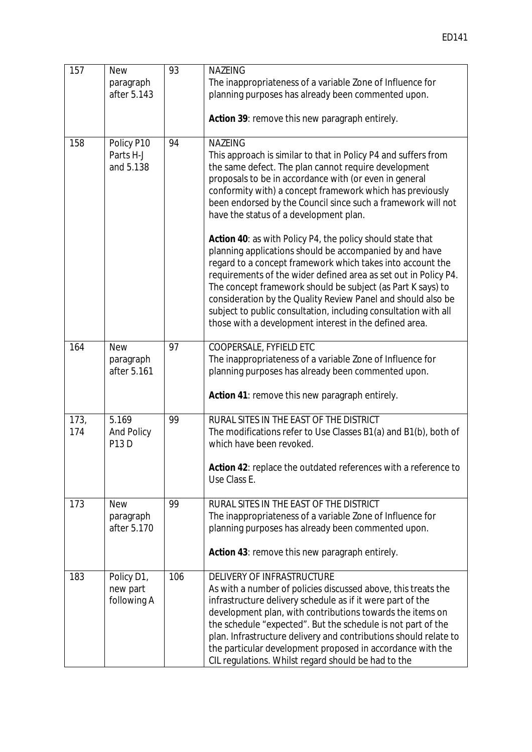| 157         | <b>New</b><br>paragraph<br>after 5.143    | 93  | <b>NAZEING</b><br>The inappropriateness of a variable Zone of Influence for<br>planning purposes has already been commented upon.<br>Action 39: remove this new paragraph entirely.                                                                                                                                                                                                                                                                                                                                |
|-------------|-------------------------------------------|-----|--------------------------------------------------------------------------------------------------------------------------------------------------------------------------------------------------------------------------------------------------------------------------------------------------------------------------------------------------------------------------------------------------------------------------------------------------------------------------------------------------------------------|
| 158         | Policy P10<br>Parts H-J<br>and 5.138      | 94  | <b>NAZEING</b><br>This approach is similar to that in Policy P4 and suffers from<br>the same defect. The plan cannot require development<br>proposals to be in accordance with (or even in general<br>conformity with) a concept framework which has previously<br>been endorsed by the Council since such a framework will not<br>have the status of a development plan.                                                                                                                                          |
|             |                                           |     | Action 40: as with Policy P4, the policy should state that<br>planning applications should be accompanied by and have<br>regard to a concept framework which takes into account the<br>requirements of the wider defined area as set out in Policy P4.<br>The concept framework should be subject (as Part K says) to<br>consideration by the Quality Review Panel and should also be<br>subject to public consultation, including consultation with all<br>those with a development interest in the defined area. |
| 164         | <b>New</b><br>paragraph<br>after 5.161    | 97  | <b>COOPERSALE, FYFIELD ETC</b><br>The inappropriateness of a variable Zone of Influence for<br>planning purposes has already been commented upon.                                                                                                                                                                                                                                                                                                                                                                  |
|             |                                           |     | Action 41: remove this new paragraph entirely.                                                                                                                                                                                                                                                                                                                                                                                                                                                                     |
| 173,<br>174 | 5.169<br><b>And Policy</b><br><b>P13D</b> | 99  | RURAL SITES IN THE EAST OF THE DISTRICT<br>The modifications refer to Use Classes B1(a) and B1(b), both of<br>which have been revoked.                                                                                                                                                                                                                                                                                                                                                                             |
|             |                                           |     | Action 42: replace the outdated references with a reference to<br>Use Class E.                                                                                                                                                                                                                                                                                                                                                                                                                                     |
| 173         | <b>New</b><br>paragraph<br>after 5.170    | 99  | RURAL SITES IN THE EAST OF THE DISTRICT<br>The inappropriateness of a variable Zone of Influence for<br>planning purposes has already been commented upon.<br>Action 43: remove this new paragraph entirely.                                                                                                                                                                                                                                                                                                       |
| 183         | Policy D1,<br>new part<br>following A     | 106 | <b>DELIVERY OF INFRASTRUCTURE</b><br>As with a number of policies discussed above, this treats the<br>infrastructure delivery schedule as if it were part of the<br>development plan, with contributions towards the items on<br>the schedule "expected". But the schedule is not part of the<br>plan. Infrastructure delivery and contributions should relate to<br>the particular development proposed in accordance with the<br>CIL regulations. Whilst regard should be had to the                             |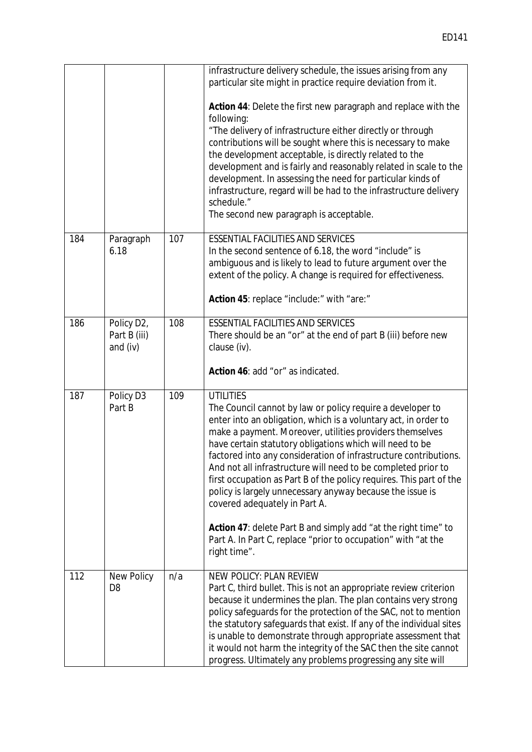|     |                                                     |     | infrastructure delivery schedule, the issues arising from any<br>particular site might in practice require deviation from it.<br>Action 44: Delete the first new paragraph and replace with the<br>following:<br>"The delivery of infrastructure either directly or through<br>contributions will be sought where this is necessary to make<br>the development acceptable, is directly related to the<br>development and is fairly and reasonably related in scale to the<br>development. In assessing the need for particular kinds of<br>infrastructure, regard will be had to the infrastructure delivery<br>schedule."<br>The second new paragraph is acceptable.                                                                  |
|-----|-----------------------------------------------------|-----|----------------------------------------------------------------------------------------------------------------------------------------------------------------------------------------------------------------------------------------------------------------------------------------------------------------------------------------------------------------------------------------------------------------------------------------------------------------------------------------------------------------------------------------------------------------------------------------------------------------------------------------------------------------------------------------------------------------------------------------|
| 184 | Paragraph<br>6.18                                   | 107 | <b>ESSENTIAL FACILITIES AND SERVICES</b><br>In the second sentence of 6.18, the word "include" is<br>ambiguous and is likely to lead to future argument over the<br>extent of the policy. A change is required for effectiveness.<br>Action 45: replace "include:" with "are:"                                                                                                                                                                                                                                                                                                                                                                                                                                                         |
| 186 | Policy D <sub>2</sub> ,<br>Part B (iii)<br>and (iv) | 108 | <b>ESSENTIAL FACILITIES AND SERVICES</b><br>There should be an "or" at the end of part B (iii) before new<br>clause (iv).<br>Action 46: add "or" as indicated.                                                                                                                                                                                                                                                                                                                                                                                                                                                                                                                                                                         |
| 187 | Policy D3<br>Part B                                 | 109 | <b>UTILITIES</b><br>The Council cannot by law or policy require a developer to<br>enter into an obligation, which is a voluntary act, in order to<br>make a payment. Moreover, utilities providers themselves<br>have certain statutory obligations which will need to be<br>factored into any consideration of infrastructure contributions.<br>And not all infrastructure will need to be completed prior to<br>first occupation as Part B of the policy requires. This part of the<br>policy is largely unnecessary anyway because the issue is<br>covered adequately in Part A.<br>Action 47: delete Part B and simply add "at the right time" to<br>Part A. In Part C, replace "prior to occupation" with "at the<br>right time". |
| 112 | <b>New Policy</b><br>D <sub>8</sub>                 | n/a | <b>NEW POLICY: PLAN REVIEW</b><br>Part C, third bullet. This is not an appropriate review criterion<br>because it undermines the plan. The plan contains very strong<br>policy safeguards for the protection of the SAC, not to mention<br>the statutory safeguards that exist. If any of the individual sites<br>is unable to demonstrate through appropriate assessment that<br>it would not harm the integrity of the SAC then the site cannot<br>progress. Ultimately any problems progressing any site will                                                                                                                                                                                                                       |